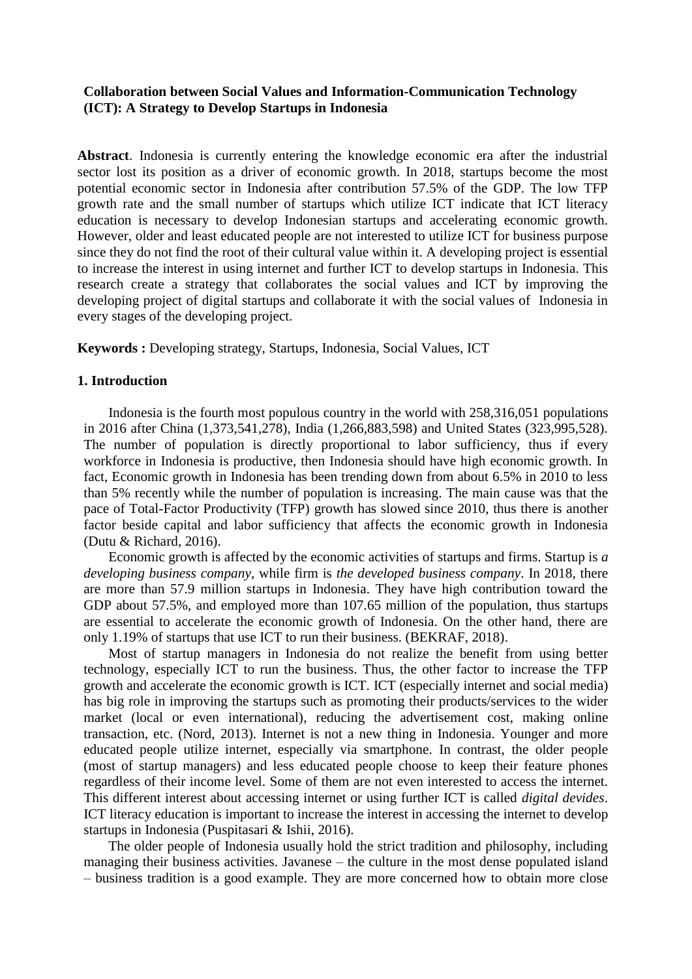### **Collaboration between Social Values and Information-Communication Technology (ICT): A Strategy to Develop Startups in Indonesia**

**Abstract**. Indonesia is currently entering the knowledge economic era after the industrial sector lost its position as a driver of economic growth. In 2018, startups become the most potential economic sector in Indonesia after contribution 57.5% of the GDP. The low TFP growth rate and the small number of startups which utilize ICT indicate that ICT literacy education is necessary to develop Indonesian startups and accelerating economic growth. However, older and least educated people are not interested to utilize ICT for business purpose since they do not find the root of their cultural value within it. A developing project is essential to increase the interest in using internet and further ICT to develop startups in Indonesia. This research create a strategy that collaborates the social values and ICT by improving the developing project of digital startups and collaborate it with the social values of Indonesia in every stages of the developing project.

**Keywords :** Developing strategy, Startups, Indonesia, Social Values, ICT

### **1. Introduction**

Indonesia is the fourth most populous country in the world with 258,316,051 populations in 2016 after China (1,373,541,278), India (1,266,883,598) and United States (323,995,528). The number of population is directly proportional to labor sufficiency, thus if every workforce in Indonesia is productive, then Indonesia should have high economic growth. In fact, Economic growth in Indonesia has been trending down from about 6.5% in 2010 to less than 5% recently while the number of population is increasing. The main cause was that the pace of Total-Factor Productivity (TFP) growth has slowed since 2010, thus there is another factor beside capital and labor sufficiency that affects the economic growth in Indonesia (Dutu & Richard, 2016).

Economic growth is affected by the economic activities of startups and firms. Startup is *a developing business company*, while firm is *the developed business company*. In 2018, there are more than 57.9 million startups in Indonesia. They have high contribution toward the GDP about 57.5%, and employed more than 107.65 million of the population, thus startups are essential to accelerate the economic growth of Indonesia. On the other hand, there are only 1.19% of startups that use ICT to run their business. (BEKRAF, 2018).

Most of startup managers in Indonesia do not realize the benefit from using better technology, especially ICT to run the business. Thus, the other factor to increase the TFP growth and accelerate the economic growth is ICT. ICT (especially internet and social media) has big role in improving the startups such as promoting their products/services to the wider market (local or even international), reducing the advertisement cost, making online transaction, etc. (Nord, 2013). Internet is not a new thing in Indonesia. Younger and more educated people utilize internet, especially via smartphone. In contrast, the older people (most of startup managers) and less educated people choose to keep their feature phones regardless of their income level. Some of them are not even interested to access the internet. This different interest about accessing internet or using further ICT is called *digital devides*. ICT literacy education is important to increase the interest in accessing the internet to develop startups in Indonesia (Puspitasari & Ishii, 2016).

The older people of Indonesia usually hold the strict tradition and philosophy, including managing their business activities. Javanese – the culture in the most dense populated island – business tradition is a good example. They are more concerned how to obtain more close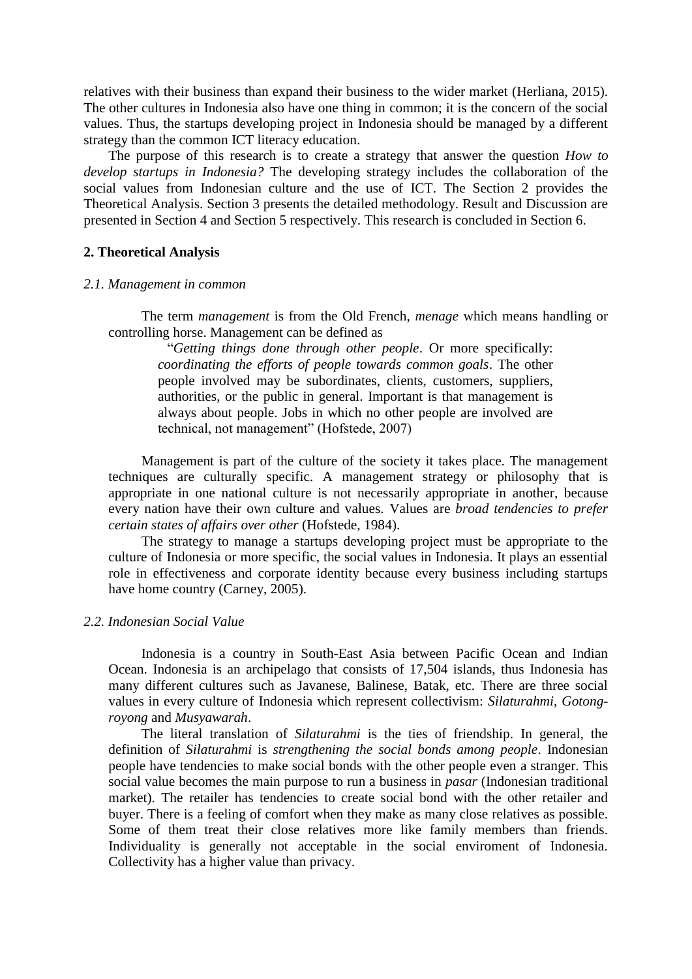relatives with their business than expand their business to the wider market (Herliana, 2015). The other cultures in Indonesia also have one thing in common; it is the concern of the social values. Thus, the startups developing project in Indonesia should be managed by a different strategy than the common ICT literacy education.

The purpose of this research is to create a strategy that answer the question *How to develop startups in Indonesia?* The developing strategy includes the collaboration of the social values from Indonesian culture and the use of ICT. The Section 2 provides the Theoretical Analysis. Section 3 presents the detailed methodology. Result and Discussion are presented in Section 4 and Section 5 respectively. This research is concluded in Section 6.

### **2. Theoretical Analysis**

#### *2.1. Management in common*

The term *management* is from the Old French, *menage* which means handling or controlling horse. Management can be defined as

"*Getting things done through other people*. Or more specifically: *coordinating the efforts of people towards common goals*. The other people involved may be subordinates, clients, customers, suppliers, authorities, or the public in general. Important is that management is always about people. Jobs in which no other people are involved are technical, not management" (Hofstede, 2007)

Management is part of the culture of the society it takes place. The management techniques are culturally specific. A management strategy or philosophy that is appropriate in one national culture is not necessarily appropriate in another, because every nation have their own culture and values. Values are *broad tendencies to prefer certain states of affairs over other* (Hofstede, 1984).

The strategy to manage a startups developing project must be appropriate to the culture of Indonesia or more specific, the social values in Indonesia. It plays an essential role in effectiveness and corporate identity because every business including startups have home country (Carney, 2005).

#### *2.2. Indonesian Social Value*

Indonesia is a country in South-East Asia between Pacific Ocean and Indian Ocean. Indonesia is an archipelago that consists of 17,504 islands, thus Indonesia has many different cultures such as Javanese, Balinese, Batak, etc. There are three social values in every culture of Indonesia which represent collectivism: *Silaturahmi*, *Gotongroyong* and *Musyawarah*.

The literal translation of *Silaturahmi* is the ties of friendship. In general, the definition of *Silaturahmi* is *strengthening the social bonds among people*. Indonesian people have tendencies to make social bonds with the other people even a stranger. This social value becomes the main purpose to run a business in *pasar* (Indonesian traditional market). The retailer has tendencies to create social bond with the other retailer and buyer. There is a feeling of comfort when they make as many close relatives as possible. Some of them treat their close relatives more like family members than friends. Individuality is generally not acceptable in the social enviroment of Indonesia. Collectivity has a higher value than privacy.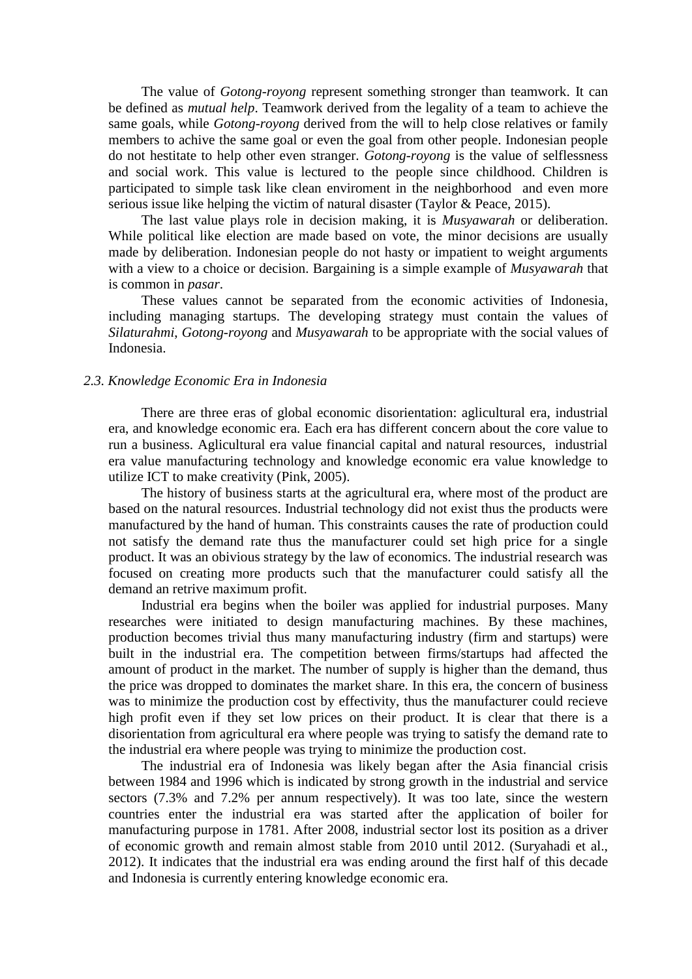The value of *Gotong-royong* represent something stronger than teamwork. It can be defined as *mutual help*. Teamwork derived from the legality of a team to achieve the same goals, while *Gotong-royong* derived from the will to help close relatives or family members to achive the same goal or even the goal from other people. Indonesian people do not hestitate to help other even stranger. *Gotong-royong* is the value of selflessness and social work. This value is lectured to the people since childhood. Children is participated to simple task like clean enviroment in the neighborhood and even more serious issue like helping the victim of natural disaster (Taylor & Peace, 2015).

The last value plays role in decision making, it is *Musyawarah* or deliberation. While political like election are made based on vote, the minor decisions are usually made by deliberation. Indonesian people do not hasty or impatient to weight arguments with a view to a choice or decision. Bargaining is a simple example of *Musyawarah* that is common in *pasar*.

These values cannot be separated from the economic activities of Indonesia, including managing startups. The developing strategy must contain the values of *Silaturahmi*, *Gotong-royong* and *Musyawarah* to be appropriate with the social values of Indonesia.

### *2.3. Knowledge Economic Era in Indonesia*

There are three eras of global economic disorientation: aglicultural era, industrial era, and knowledge economic era. Each era has different concern about the core value to run a business. Aglicultural era value financial capital and natural resources, industrial era value manufacturing technology and knowledge economic era value knowledge to utilize ICT to make creativity (Pink, 2005).

The history of business starts at the agricultural era, where most of the product are based on the natural resources. Industrial technology did not exist thus the products were manufactured by the hand of human. This constraints causes the rate of production could not satisfy the demand rate thus the manufacturer could set high price for a single product. It was an obivious strategy by the law of economics. The industrial research was focused on creating more products such that the manufacturer could satisfy all the demand an retrive maximum profit.

Industrial era begins when the boiler was applied for industrial purposes. Many researches were initiated to design manufacturing machines. By these machines, production becomes trivial thus many manufacturing industry (firm and startups) were built in the industrial era. The competition between firms/startups had affected the amount of product in the market. The number of supply is higher than the demand, thus the price was dropped to dominates the market share. In this era, the concern of business was to minimize the production cost by effectivity, thus the manufacturer could recieve high profit even if they set low prices on their product. It is clear that there is a disorientation from agricultural era where people was trying to satisfy the demand rate to the industrial era where people was trying to minimize the production cost.

The industrial era of Indonesia was likely began after the Asia financial crisis between 1984 and 1996 which is indicated by strong growth in the industrial and service sectors (7.3% and 7.2% per annum respectively). It was too late, since the western countries enter the industrial era was started after the application of boiler for manufacturing purpose in 1781. After 2008, industrial sector lost its position as a driver of economic growth and remain almost stable from 2010 until 2012. (Suryahadi et al., 2012). It indicates that the industrial era was ending around the first half of this decade and Indonesia is currently entering knowledge economic era.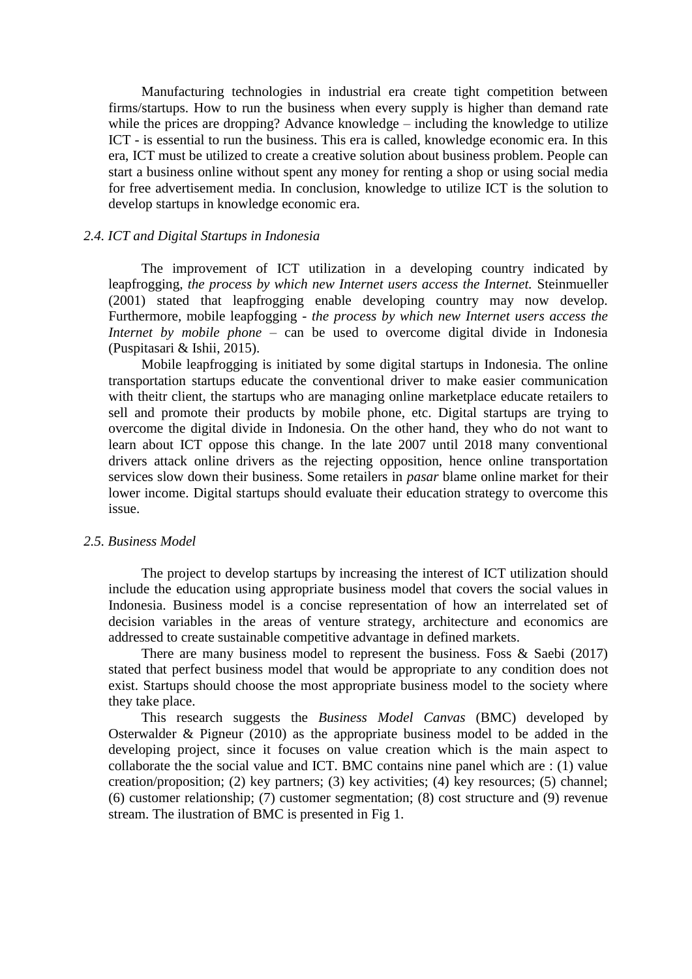Manufacturing technologies in industrial era create tight competition between firms/startups. How to run the business when every supply is higher than demand rate while the prices are dropping? Advance knowledge – including the knowledge to utilize ICT - is essential to run the business. This era is called, knowledge economic era. In this era, ICT must be utilized to create a creative solution about business problem. People can start a business online without spent any money for renting a shop or using social media for free advertisement media. In conclusion, knowledge to utilize ICT is the solution to develop startups in knowledge economic era.

## *2.4. ICT and Digital Startups in Indonesia*

The improvement of ICT utilization in a developing country indicated by leapfrogging, *the process by which new Internet users access the Internet.* Steinmueller (2001) stated that leapfrogging enable developing country may now develop. Furthermore, mobile leapfogging - *the process by which new Internet users access the Internet by mobile phone* – can be used to overcome digital divide in Indonesia (Puspitasari & Ishii, 2015).

Mobile leapfrogging is initiated by some digital startups in Indonesia. The online transportation startups educate the conventional driver to make easier communication with theitr client, the startups who are managing online marketplace educate retailers to sell and promote their products by mobile phone, etc. Digital startups are trying to overcome the digital divide in Indonesia. On the other hand, they who do not want to learn about ICT oppose this change. In the late 2007 until 2018 many conventional drivers attack online drivers as the rejecting opposition, hence online transportation services slow down their business. Some retailers in *pasar* blame online market for their lower income. Digital startups should evaluate their education strategy to overcome this issue.

#### *2.5. Business Model*

The project to develop startups by increasing the interest of ICT utilization should include the education using appropriate business model that covers the social values in Indonesia. Business model is a concise representation of how an interrelated set of decision variables in the areas of venture strategy, architecture and economics are addressed to create sustainable competitive advantage in defined markets.

There are many business model to represent the business. Foss & Saebi (2017) stated that perfect business model that would be appropriate to any condition does not exist. Startups should choose the most appropriate business model to the society where they take place.

This research suggests the *Business Model Canvas* (BMC) developed by Osterwalder & Pigneur (2010) as the appropriate business model to be added in the developing project, since it focuses on value creation which is the main aspect to collaborate the the social value and ICT. BMC contains nine panel which are : (1) value creation/proposition; (2) key partners; (3) key activities; (4) key resources; (5) channel; (6) customer relationship; (7) customer segmentation; (8) cost structure and (9) revenue stream. The ilustration of BMC is presented in Fig 1.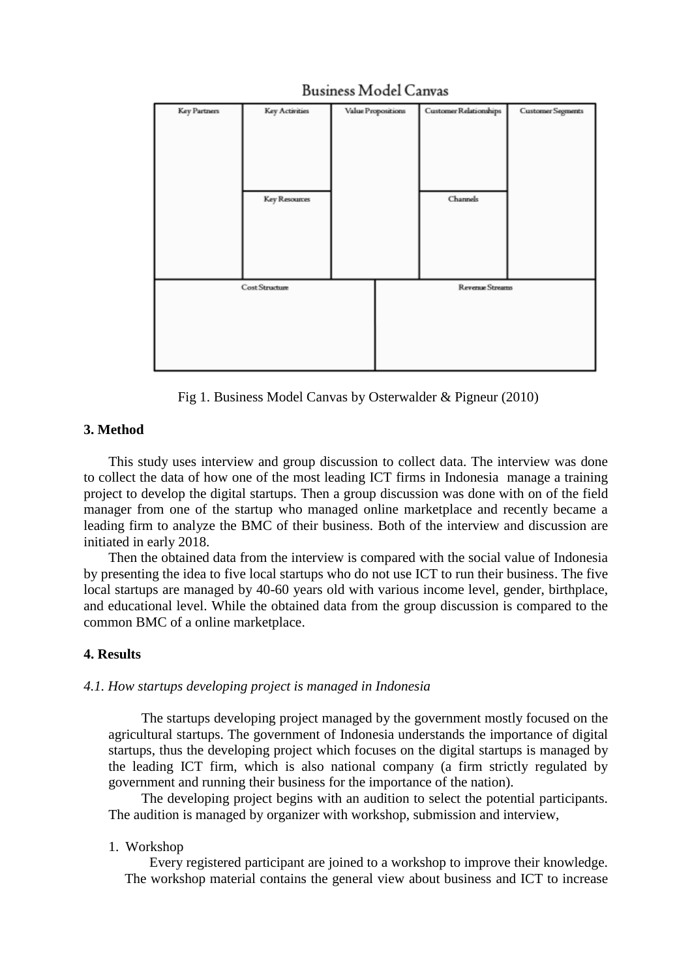| Key Partners   | <b>Key Activities</b> |  | Value Propositions | Customer Relationships | Customer Segments |
|----------------|-----------------------|--|--------------------|------------------------|-------------------|
|                |                       |  |                    |                        |                   |
|                |                       |  |                    |                        |                   |
|                |                       |  |                    |                        |                   |
|                |                       |  |                    |                        |                   |
|                |                       |  |                    |                        |                   |
|                | Key Resources         |  |                    | Channels               |                   |
|                |                       |  |                    |                        |                   |
|                |                       |  |                    |                        |                   |
|                |                       |  |                    |                        |                   |
|                |                       |  |                    |                        |                   |
|                |                       |  |                    |                        |                   |
| Cost Structure |                       |  | Revenue Streams    |                        |                   |
|                |                       |  |                    |                        |                   |
|                |                       |  |                    |                        |                   |
|                |                       |  |                    |                        |                   |
|                |                       |  |                    |                        |                   |
|                |                       |  |                    |                        |                   |

# **Business Model Canvas**

Fig 1. Business Model Canvas by Osterwalder & Pigneur (2010)

# **3. Method**

This study uses interview and group discussion to collect data. The interview was done to collect the data of how one of the most leading ICT firms in Indonesia manage a training project to develop the digital startups. Then a group discussion was done with on of the field manager from one of the startup who managed online marketplace and recently became a leading firm to analyze the BMC of their business. Both of the interview and discussion are initiated in early 2018.

Then the obtained data from the interview is compared with the social value of Indonesia by presenting the idea to five local startups who do not use ICT to run their business. The five local startups are managed by 40-60 years old with various income level, gender, birthplace, and educational level. While the obtained data from the group discussion is compared to the common BMC of a online marketplace.

# **4. Results**

## *4.1. How startups developing project is managed in Indonesia*

The startups developing project managed by the government mostly focused on the agricultural startups. The government of Indonesia understands the importance of digital startups, thus the developing project which focuses on the digital startups is managed by the leading ICT firm, which is also national company (a firm strictly regulated by government and running their business for the importance of the nation).

The developing project begins with an audition to select the potential participants. The audition is managed by organizer with workshop, submission and interview,

## 1. Workshop

Every registered participant are joined to a workshop to improve their knowledge. The workshop material contains the general view about business and ICT to increase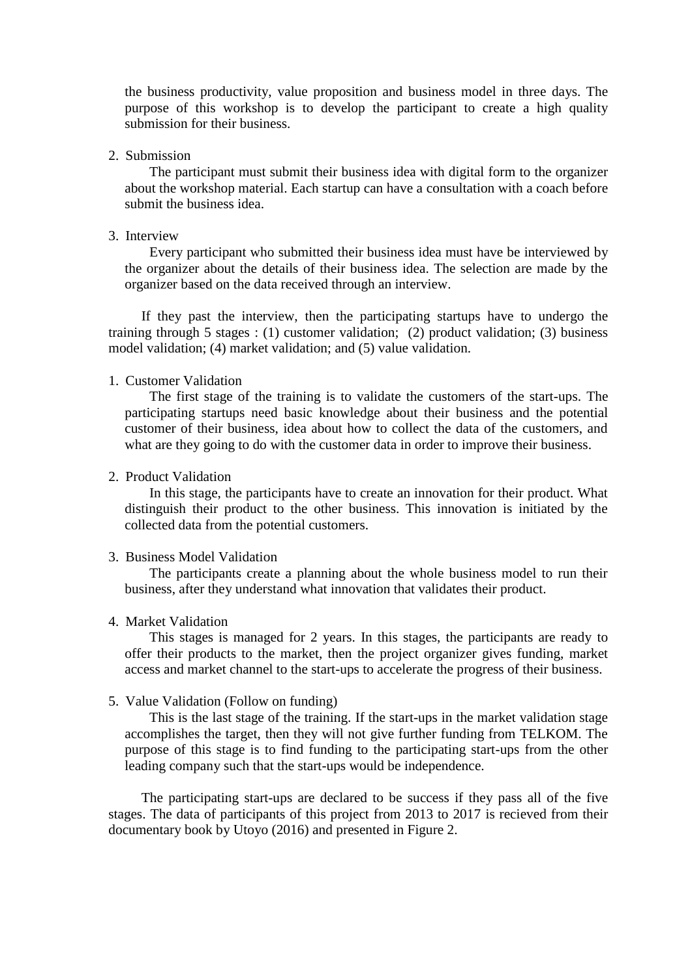the business productivity, value proposition and business model in three days. The purpose of this workshop is to develop the participant to create a high quality submission for their business.

#### 2. Submission

The participant must submit their business idea with digital form to the organizer about the workshop material. Each startup can have a consultation with a coach before submit the business idea.

### 3. Interview

Every participant who submitted their business idea must have be interviewed by the organizer about the details of their business idea. The selection are made by the organizer based on the data received through an interview.

If they past the interview, then the participating startups have to undergo the training through 5 stages : (1) customer validation; (2) product validation; (3) business model validation; (4) market validation; and (5) value validation.

### 1. Customer Validation

The first stage of the training is to validate the customers of the start-ups. The participating startups need basic knowledge about their business and the potential customer of their business, idea about how to collect the data of the customers, and what are they going to do with the customer data in order to improve their business.

## 2. Product Validation

In this stage, the participants have to create an innovation for their product. What distinguish their product to the other business. This innovation is initiated by the collected data from the potential customers.

#### 3. Business Model Validation

The participants create a planning about the whole business model to run their business, after they understand what innovation that validates their product.

#### 4. Market Validation

This stages is managed for 2 years. In this stages, the participants are ready to offer their products to the market, then the project organizer gives funding, market access and market channel to the start-ups to accelerate the progress of their business.

### 5. Value Validation (Follow on funding)

This is the last stage of the training. If the start-ups in the market validation stage accomplishes the target, then they will not give further funding from TELKOM. The purpose of this stage is to find funding to the participating start-ups from the other leading company such that the start-ups would be independence.

The participating start-ups are declared to be success if they pass all of the five stages. The data of participants of this project from 2013 to 2017 is recieved from their documentary book by Utoyo (2016) and presented in Figure 2.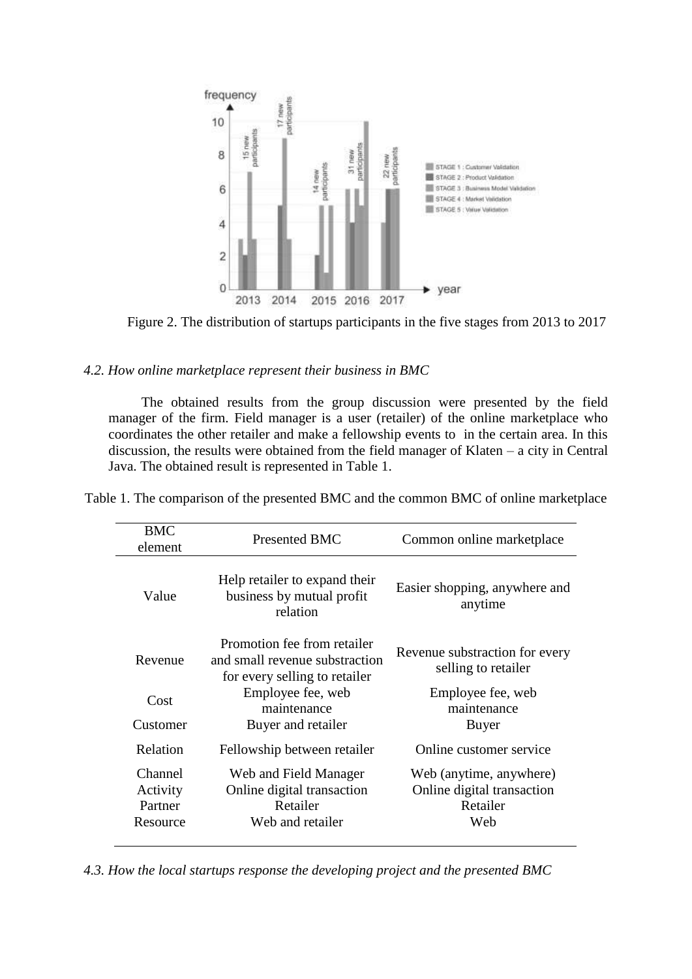

Figure 2. The distribution of startups participants in the five stages from 2013 to 2017

## *4.2. How online marketplace represent their business in BMC*

The obtained results from the group discussion were presented by the field manager of the firm. Field manager is a user (retailer) of the online marketplace who coordinates the other retailer and make a fellowship events to in the certain area. In this discussion, the results were obtained from the field manager of Klaten – a city in Central Java. The obtained result is represented in Table 1.

| <b>BMC</b><br>element                      | <b>Presented BMC</b>                                                                           | Common online marketplace                                                |  |
|--------------------------------------------|------------------------------------------------------------------------------------------------|--------------------------------------------------------------------------|--|
| Value                                      | Help retailer to expand their<br>business by mutual profit<br>relation                         | Easier shopping, anywhere and<br>anytime                                 |  |
| Revenue                                    | Promotion fee from retailer<br>and small revenue substraction<br>for every selling to retailer | Revenue substraction for every<br>selling to retailer                    |  |
| Cost                                       | Employee fee, web<br>maintenance                                                               | Employee fee, web<br>maintenance                                         |  |
| Customer                                   | Buyer and retailer                                                                             | Buyer                                                                    |  |
| Relation                                   | Fellowship between retailer                                                                    | Online customer service                                                  |  |
| Channel<br>Activity<br>Partner<br>Resource | Web and Field Manager<br>Online digital transaction<br>Retailer<br>Web and retailer            | Web (anytime, anywhere)<br>Online digital transaction<br>Retailer<br>Web |  |

Table 1. The comparison of the presented BMC and the common BMC of online marketplace

*4.3. How the local startups response the developing project and the presented BMC*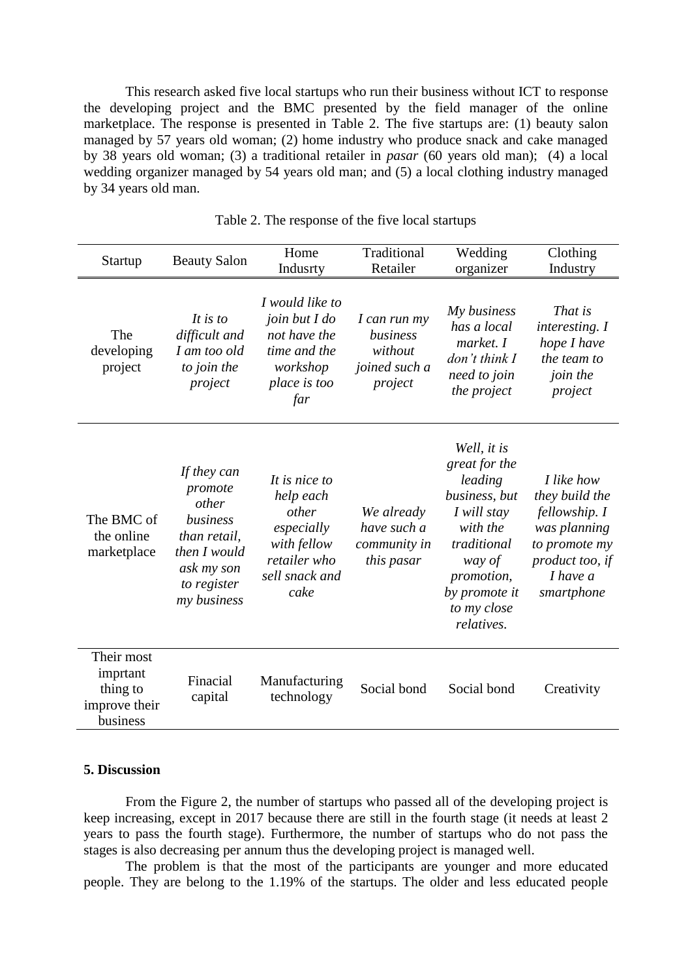This research asked five local startups who run their business without ICT to response the developing project and the BMC presented by the field manager of the online marketplace. The response is presented in Table 2. The five startups are: (1) beauty salon managed by 57 years old woman; (2) home industry who produce snack and cake managed by 38 years old woman; (3) a traditional retailer in *pasar* (60 years old man); (4) a local wedding organizer managed by 54 years old man; and (5) a local clothing industry managed by 34 years old man.

| Startup                                                         | <b>Beauty Salon</b>                                                                                                     | Home<br>Indusrty                                                                                           | Traditional<br>Retailer                                         | Wedding<br>organizer                                                                                                                                                     | Clothing<br>Industry                                                                                                            |
|-----------------------------------------------------------------|-------------------------------------------------------------------------------------------------------------------------|------------------------------------------------------------------------------------------------------------|-----------------------------------------------------------------|--------------------------------------------------------------------------------------------------------------------------------------------------------------------------|---------------------------------------------------------------------------------------------------------------------------------|
| The<br>developing<br>project                                    | It is to<br>difficult and<br>I am too old<br>to join the<br>project                                                     | I would like to<br>join but I do<br>not have the<br>time and the<br>workshop<br>place is too<br>far        | I can run my<br>business<br>without<br>joined such a<br>project | My business<br>has a local<br>market. I<br>$don't$ think $I$<br>need to join<br>the project                                                                              | That is<br>interesting. I<br>hope I have<br>the team to<br>join the<br>project                                                  |
| The BMC of<br>the online<br>marketplace                         | If they can<br>promote<br>other<br>business<br>than retail,<br>then I would<br>ask my son<br>to register<br>my business | It is nice to<br>help each<br>other<br>especially<br>with fellow<br>retailer who<br>sell snack and<br>cake | We already<br>have such a<br>community in<br>this pasar         | Well, it is<br>great for the<br>leading<br>business, but<br>I will stay<br>with the<br>traditional<br>way of<br>promotion,<br>by promote it<br>to my close<br>relatives. | I like how<br>they build the<br>fellowship. I<br>was planning<br>to promote my<br>product too, if<br>$I$ have $a$<br>smartphone |
| Their most<br>imprtant<br>thing to<br>improve their<br>business | Finacial<br>capital                                                                                                     | Manufacturing<br>technology                                                                                | Social bond                                                     | Social bond                                                                                                                                                              | Creativity                                                                                                                      |

Table 2. The response of the five local startups

### **5. Discussion**

From the Figure 2, the number of startups who passed all of the developing project is keep increasing, except in 2017 because there are still in the fourth stage (it needs at least 2 years to pass the fourth stage). Furthermore, the number of startups who do not pass the stages is also decreasing per annum thus the developing project is managed well.

The problem is that the most of the participants are younger and more educated people. They are belong to the 1.19% of the startups. The older and less educated people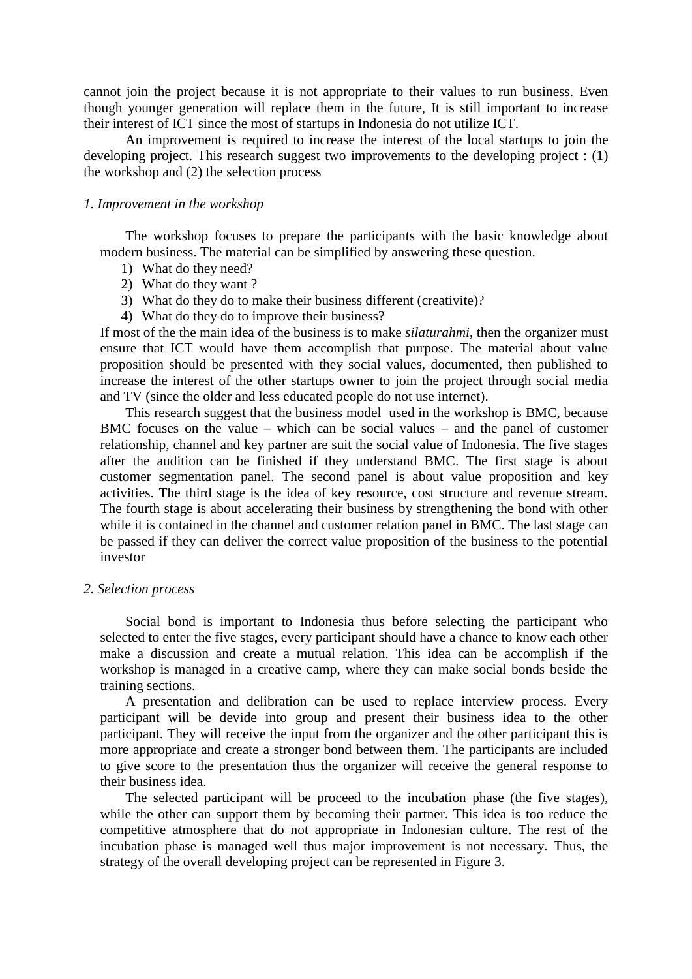cannot join the project because it is not appropriate to their values to run business. Even though younger generation will replace them in the future, It is still important to increase their interest of ICT since the most of startups in Indonesia do not utilize ICT.

An improvement is required to increase the interest of the local startups to join the developing project. This research suggest two improvements to the developing project : (1) the workshop and (2) the selection process

### *1. Improvement in the workshop*

The workshop focuses to prepare the participants with the basic knowledge about modern business. The material can be simplified by answering these question.

- 1) What do they need?
- 2) What do they want ?
- 3) What do they do to make their business different (creativite)?
- 4) What do they do to improve their business?

If most of the the main idea of the business is to make *silaturahmi*, then the organizer must ensure that ICT would have them accomplish that purpose. The material about value proposition should be presented with they social values, documented, then published to increase the interest of the other startups owner to join the project through social media and TV (since the older and less educated people do not use internet).

This research suggest that the business model used in the workshop is BMC, because BMC focuses on the value – which can be social values – and the panel of customer relationship, channel and key partner are suit the social value of Indonesia. The five stages after the audition can be finished if they understand BMC. The first stage is about customer segmentation panel. The second panel is about value proposition and key activities. The third stage is the idea of key resource, cost structure and revenue stream. The fourth stage is about accelerating their business by strengthening the bond with other while it is contained in the channel and customer relation panel in BMC. The last stage can be passed if they can deliver the correct value proposition of the business to the potential investor

#### *2. Selection process*

Social bond is important to Indonesia thus before selecting the participant who selected to enter the five stages, every participant should have a chance to know each other make a discussion and create a mutual relation. This idea can be accomplish if the workshop is managed in a creative camp, where they can make social bonds beside the training sections.

A presentation and delibration can be used to replace interview process. Every participant will be devide into group and present their business idea to the other participant. They will receive the input from the organizer and the other participant this is more appropriate and create a stronger bond between them. The participants are included to give score to the presentation thus the organizer will receive the general response to their business idea.

The selected participant will be proceed to the incubation phase (the five stages), while the other can support them by becoming their partner. This idea is too reduce the competitive atmosphere that do not appropriate in Indonesian culture. The rest of the incubation phase is managed well thus major improvement is not necessary. Thus, the strategy of the overall developing project can be represented in Figure 3.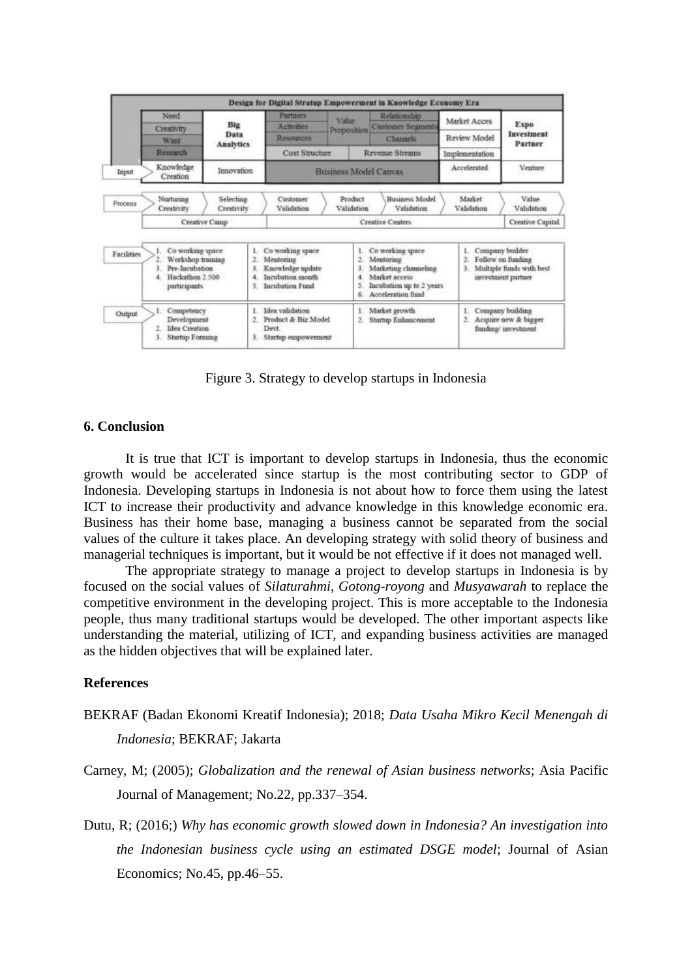

Figure 3. Strategy to develop startups in Indonesia

### **6. Conclusion**

It is true that ICT is important to develop startups in Indonesia, thus the economic growth would be accelerated since startup is the most contributing sector to GDP of Indonesia. Developing startups in Indonesia is not about how to force them using the latest ICT to increase their productivity and advance knowledge in this knowledge economic era. Business has their home base, managing a business cannot be separated from the social values of the culture it takes place. An developing strategy with solid theory of business and managerial techniques is important, but it would be not effective if it does not managed well.

The appropriate strategy to manage a project to develop startups in Indonesia is by focused on the social values of *Silaturahmi*, *Gotong-royong* and *Musyawarah* to replace the competitive environment in the developing project. This is more acceptable to the Indonesia people, thus many traditional startups would be developed. The other important aspects like understanding the material, utilizing of ICT, and expanding business activities are managed as the hidden objectives that will be explained later.

### **References**

- BEKRAF (Badan Ekonomi Kreatif Indonesia); 2018; *Data Usaha Mikro Kecil Menengah di Indonesia*; BEKRAF; Jakarta
- Carney, M; (2005); *Globalization and the renewal of Asian business networks*; Asia Pacific Journal of Management; No.22, pp.337–354.
- Dutu, R; (2016;) *Why has economic growth slowed down in Indonesia? An investigation into the Indonesian business cycle using an estimated DSGE model*; Journal of Asian Economics; No.45, pp.46–55.